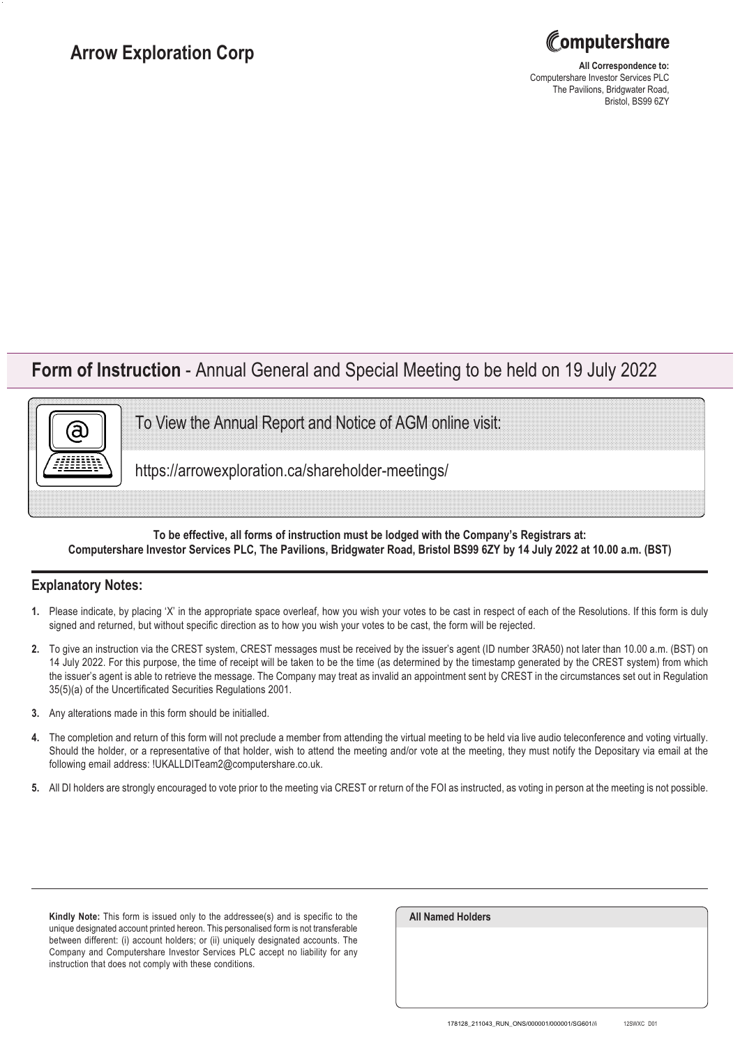

**All Correspondence to:** Computershare Investor Services PLC The Pavilions, Bridgwater Road, Bristol, BS99 6ZY

## **Form of Instruction** - Annual General and Special Meeting to be held on 19 July 2022

To View the Annual Report and Notice of AGM online visit:

https://arrowexploration.ca/shareholder-meetings/

## **To be effective, all forms of instruction must be lodged with the Company's Registrars at: Computershare Investor Services PLC, The Pavilions, Bridgwater Road, Bristol BS99 6ZY by 14 July 2022 at 10.00 a.m. (BST)**

## **Explanatory Notes:**

(a

- **1.** Please indicate, by placing 'X' in the appropriate space overleaf, how you wish your votes to be cast in respect of each of the Resolutions. If this form is duly signed and returned, but without specific direction as to how you wish your votes to be cast, the form will be rejected.
- **2.** To give an instruction via the CREST system, CREST messages must be received by the issuer's agent (ID number 3RA50) not later than 10.00 a.m. (BST) on 14 July 2022. For this purpose, the time of receipt will be taken to be the time (as determined by the timestamp generated by the CREST system) from which the issuer's agent is able to retrieve the message. The Company may treat as invalid an appointment sent by CREST in the circumstances set out in Regulation 35(5)(a) of the Uncertificated Securities Regulations 2001.
- **3.** Any alterations made in this form should be initialled.
- **4.** The completion and return of this form will not preclude a member from attending the virtual meeting to be held via live audio teleconference and voting virtually. Should the holder, or a representative of that holder, wish to attend the meeting and/or vote at the meeting, they must notify the Depositary via email at the following email address: !UKALLDITeam2@computershare.co.uk.
- **5.** All DI holders are strongly encouraged to vote prior to the meeting via CREST or return of the FOI as instructed, as voting in person at the meeting is not possible.

**Kindly Note:** This form is issued only to the addressee(s) and is specific to the unique designated account printed hereon. This personalised form is not transferable between different: (i) account holders; or (ii) uniquely designated accounts. The Company and Computershare Investor Services PLC accept no liability for any instruction that does not comply with these conditions.

| <b>All Named Holders</b> |  |  |
|--------------------------|--|--|
|                          |  |  |
|                          |  |  |
|                          |  |  |
|                          |  |  |
|                          |  |  |